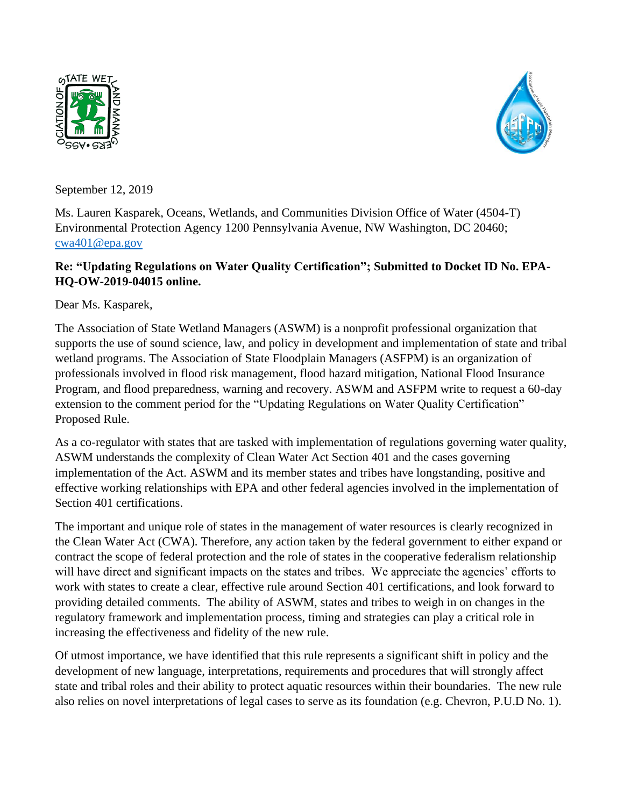



September 12, 2019

Ms. Lauren Kasparek, Oceans, Wetlands, and Communities Division Office of Water (4504-T) Environmental Protection Agency 1200 Pennsylvania Avenue, NW Washington, DC 20460; [cwa401@epa.gov](mailto:cwa401@epa.gov)

## **Re: "Updating Regulations on Water Quality Certification"; Submitted to Docket ID No. EPA-HQ-OW-2019-04015 online.**

Dear Ms. Kasparek,

The Association of State Wetland Managers (ASWM) is a nonprofit professional organization that supports the use of sound science, law, and policy in development and implementation of state and tribal wetland programs. The Association of State Floodplain Managers (ASFPM) is an organization of professionals involved in flood risk management, flood hazard mitigation, National Flood Insurance Program, and flood preparedness, warning and recovery. ASWM and ASFPM write to request a 60-day extension to the comment period for the "Updating Regulations on Water Quality Certification" Proposed Rule.

As a co-regulator with states that are tasked with implementation of regulations governing water quality, ASWM understands the complexity of Clean Water Act Section 401 and the cases governing implementation of the Act. ASWM and its member states and tribes have longstanding, positive and effective working relationships with EPA and other federal agencies involved in the implementation of Section 401 certifications.

The important and unique role of states in the management of water resources is clearly recognized in the Clean Water Act (CWA). Therefore, any action taken by the federal government to either expand or contract the scope of federal protection and the role of states in the cooperative federalism relationship will have direct and significant impacts on the states and tribes. We appreciate the agencies' efforts to work with states to create a clear, effective rule around Section 401 certifications, and look forward to providing detailed comments. The ability of ASWM, states and tribes to weigh in on changes in the regulatory framework and implementation process, timing and strategies can play a critical role in increasing the effectiveness and fidelity of the new rule.

Of utmost importance, we have identified that this rule represents a significant shift in policy and the development of new language, interpretations, requirements and procedures that will strongly affect state and tribal roles and their ability to protect aquatic resources within their boundaries. The new rule also relies on novel interpretations of legal cases to serve as its foundation (e.g. Chevron, P.U.D No. 1).